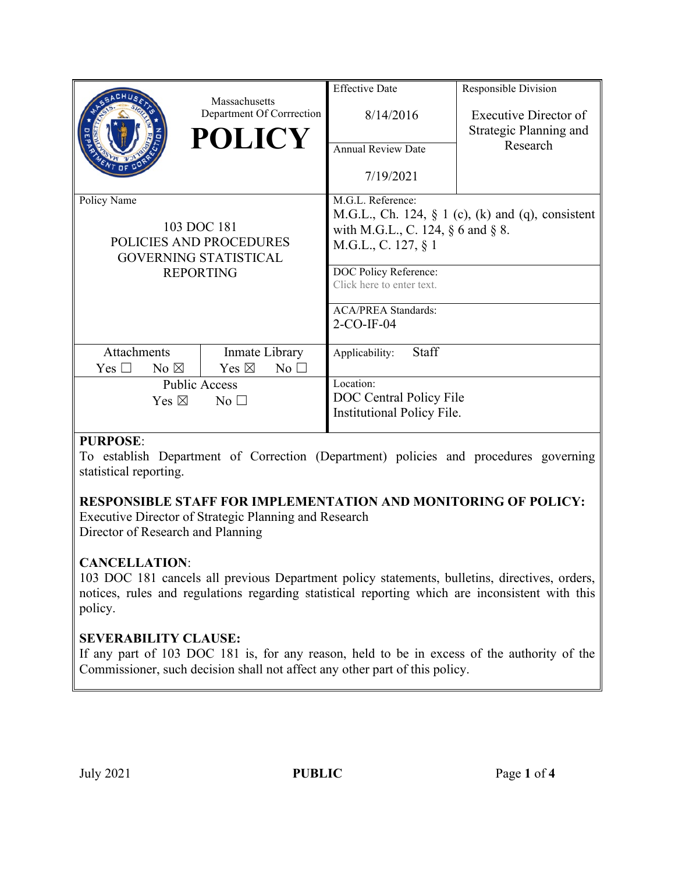|                                                                                                           | Massachusetts                     | <b>Effective Date</b>                                                                           | Responsible Division   |
|-----------------------------------------------------------------------------------------------------------|-----------------------------------|-------------------------------------------------------------------------------------------------|------------------------|
|                                                                                                           | Department Of Corrrection         | 8/14/2016                                                                                       | Executive Director of  |
|                                                                                                           | <b>POLICY</b>                     |                                                                                                 | Strategic Planning and |
|                                                                                                           |                                   | <b>Annual Review Date</b>                                                                       | Research               |
|                                                                                                           |                                   | 7/19/2021                                                                                       |                        |
| Policy Name<br>103 DOC 181<br>POLICIES AND PROCEDURES<br><b>GOVERNING STATISTICAL</b><br><b>REPORTING</b> |                                   | M.G.L. Reference:                                                                               |                        |
|                                                                                                           |                                   | M.G.L., Ch. 124, $\S$ 1 (c), (k) and (q), consistent<br>with M.G.L., C. 124, $\S$ 6 and $\S$ 8. |                        |
|                                                                                                           |                                   | M.G.L., C. 127, § 1                                                                             |                        |
|                                                                                                           |                                   |                                                                                                 |                        |
|                                                                                                           |                                   | DOC Policy Reference:<br>Click here to enter text.                                              |                        |
|                                                                                                           |                                   |                                                                                                 |                        |
|                                                                                                           |                                   | <b>ACA/PREA Standards:</b><br>$2$ -CO-IF-04                                                     |                        |
|                                                                                                           |                                   |                                                                                                 |                        |
| Attachments                                                                                               | Inmate Library                    | Staff<br>Applicability:                                                                         |                        |
| No $\boxtimes$<br>Yes $\Box$                                                                              | Yes $\boxtimes$<br>$No$ $\square$ |                                                                                                 |                        |
| <b>Public Access</b>                                                                                      |                                   | Location:                                                                                       |                        |
| Yes $\boxtimes$<br>No <sub>1</sub>                                                                        |                                   | DOC Central Policy File<br><b>Institutional Policy File.</b>                                    |                        |
|                                                                                                           |                                   |                                                                                                 |                        |

#### **PURPOSE**:

To establish Department of Correction (Department) policies and procedures governing statistical reporting.

### **RESPONSIBLE STAFF FOR IMPLEMENTATION AND MONITORING OF POLICY:**

Executive Director of Strategic Planning and Research Director of Research and Planning

## **CANCELLATION**:

103 DOC 181 cancels all previous Department policy statements, bulletins, directives, orders, notices, rules and regulations regarding statistical reporting which are inconsistent with this policy.

### **SEVERABILITY CLAUSE:**

If any part of 103 DOC 181 is, for any reason, held to be in excess of the authority of the Commissioner, such decision shall not affect any other part of this policy.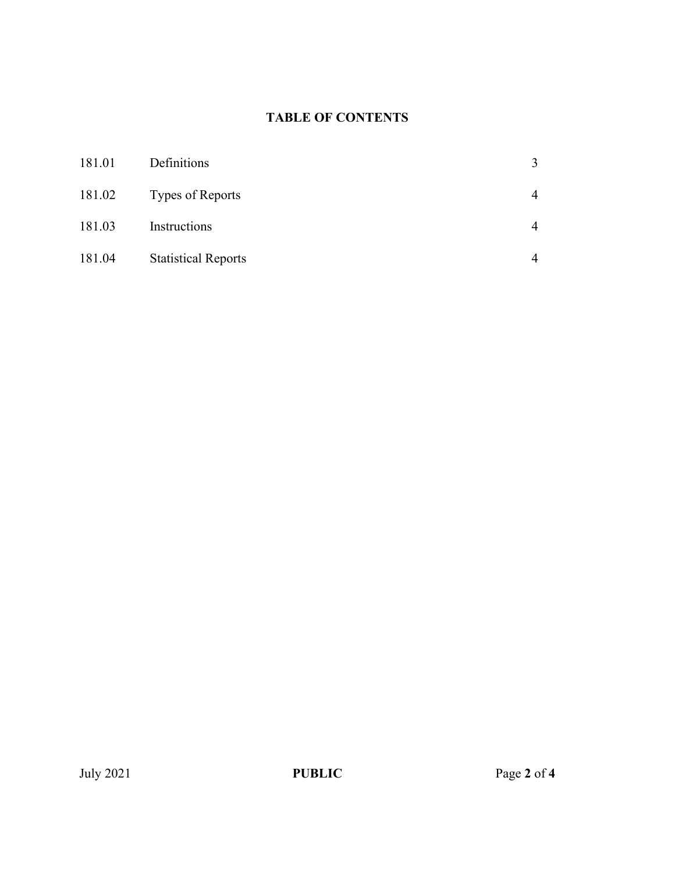# **TABLE OF CONTENTS**

| 181.01 | Definitions                | 3              |
|--------|----------------------------|----------------|
| 181.02 | Types of Reports           | $\overline{4}$ |
| 181.03 | Instructions               | $\overline{4}$ |
| 181.04 | <b>Statistical Reports</b> | $\overline{4}$ |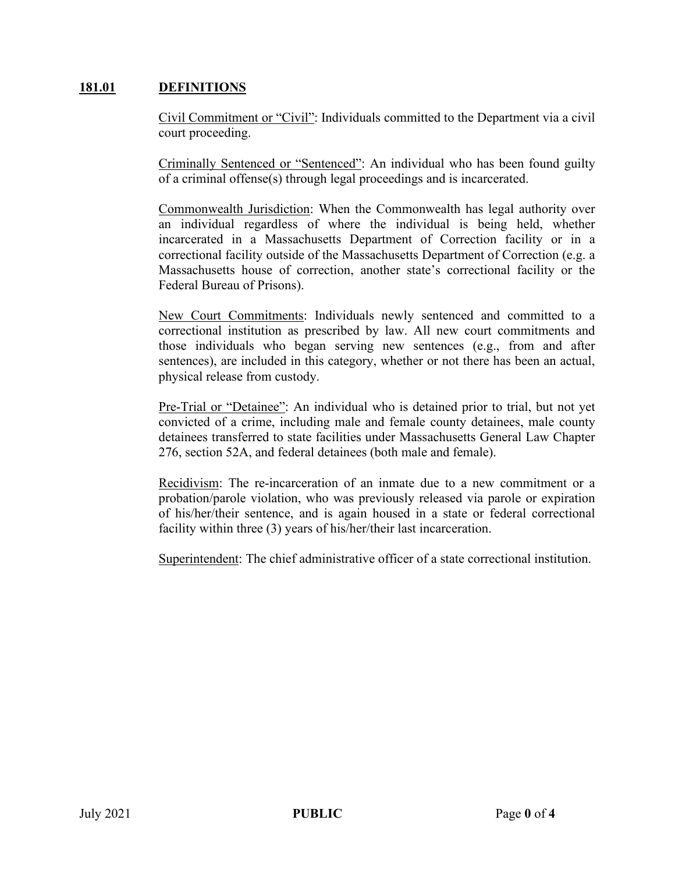### **181.01 DEFINITIONS**

Civil Commitment or "Civil": Individuals committed to the Department via a civil court proceeding.

Criminally Sentenced or "Sentenced": An individual who has been found guilty of a criminal offense(s) through legal proceedings and is incarcerated.

Commonwealth Jurisdiction: When the Commonwealth has legal authority over an individual regardless of where the individual is being held, whether incarcerated in a Massachusetts Department of Correction facility or in a correctional facility outside of the Massachusetts Department of Correction (e.g. a Massachusetts house of correction, another state's correctional facility or the Federal Bureau of Prisons).

New Court Commitments: Individuals newly sentenced and committed to a correctional institution as prescribed by law. All new court commitments and those individuals who began serving new sentences (e.g., from and after sentences), are included in this category, whether or not there has been an actual, physical release from custody.

Pre-Trial or "Detainee": An individual who is detained prior to trial, but not yet convicted of a crime, including male and female county detainees, male county detainees transferred to state facilities under Massachusetts General Law Chapter 276, section 52A, and federal detainees (both male and female).

Recidivism: The re-incarceration of an inmate due to a new commitment or a probation/parole violation, who was previously released via parole or expiration of his/her/their sentence, and is again housed in a state or federal correctional facility within three (3) years of his/her/their last incarceration.

Superintendent: The chief administrative officer of a state correctional institution.